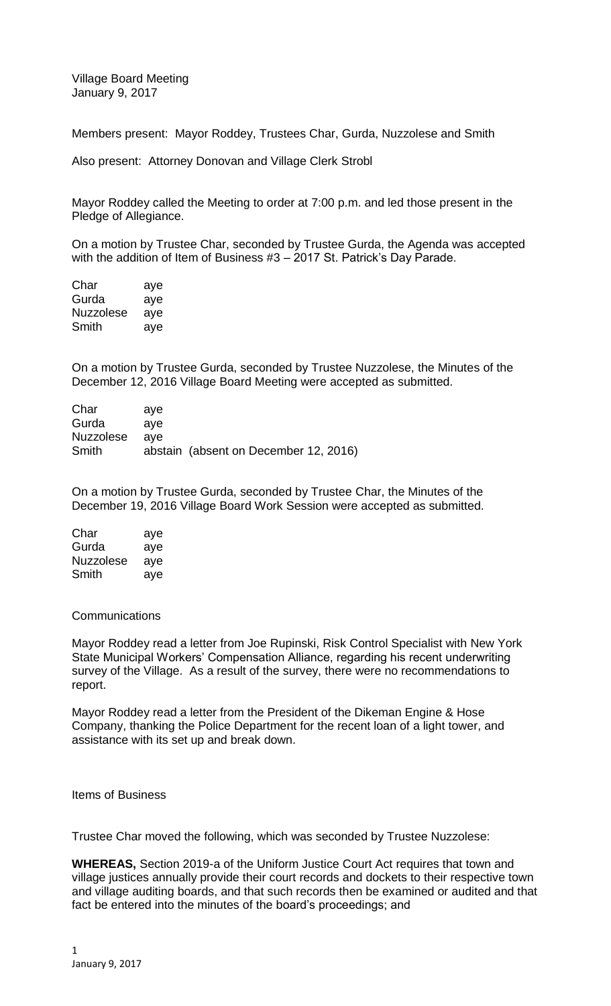Village Board Meeting January 9, 2017

Members present: Mayor Roddey, Trustees Char, Gurda, Nuzzolese and Smith

Also present: Attorney Donovan and Village Clerk Strobl

Mayor Roddey called the Meeting to order at 7:00 p.m. and led those present in the Pledge of Allegiance.

On a motion by Trustee Char, seconded by Trustee Gurda, the Agenda was accepted with the addition of Item of Business #3 – 2017 St. Patrick's Day Parade.

Char aye Gurda aye Nuzzolese aye Smith aye

On a motion by Trustee Gurda, seconded by Trustee Nuzzolese, the Minutes of the December 12, 2016 Village Board Meeting were accepted as submitted.

| Char      | ave |                                       |
|-----------|-----|---------------------------------------|
| Gurda     | ave |                                       |
| Nuzzolese | ave |                                       |
| Smith     |     | abstain (absent on December 12, 2016) |

On a motion by Trustee Gurda, seconded by Trustee Char, the Minutes of the December 19, 2016 Village Board Work Session were accepted as submitted.

| Char      | aye |
|-----------|-----|
| Gurda     | aye |
| Nuzzolese | aye |
| Smith     | aye |

**Communications** 

Mayor Roddey read a letter from Joe Rupinski, Risk Control Specialist with New York State Municipal Workers' Compensation Alliance, regarding his recent underwriting survey of the Village. As a result of the survey, there were no recommendations to report.

Mayor Roddey read a letter from the President of the Dikeman Engine & Hose Company, thanking the Police Department for the recent loan of a light tower, and assistance with its set up and break down.

Items of Business

Trustee Char moved the following, which was seconded by Trustee Nuzzolese:

**WHEREAS,** Section 2019-a of the Uniform Justice Court Act requires that town and village justices annually provide their court records and dockets to their respective town and village auditing boards, and that such records then be examined or audited and that fact be entered into the minutes of the board's proceedings; and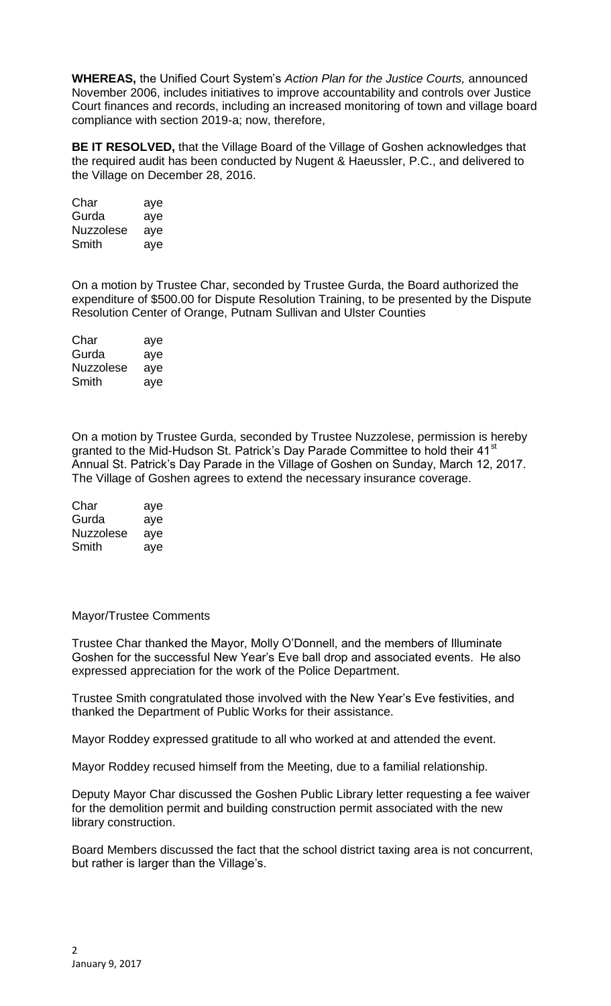**WHEREAS,** the Unified Court System's *Action Plan for the Justice Courts,* announced November 2006, includes initiatives to improve accountability and controls over Justice Court finances and records, including an increased monitoring of town and village board compliance with section 2019-a; now, therefore,

**BE IT RESOLVED,** that the Village Board of the Village of Goshen acknowledges that the required audit has been conducted by Nugent & Haeussler, P.C., and delivered to the Village on December 28, 2016.

| Char      | aye |
|-----------|-----|
| Gurda     | aye |
| Nuzzolese | aye |
| Smith     | aye |

On a motion by Trustee Char, seconded by Trustee Gurda, the Board authorized the expenditure of \$500.00 for Dispute Resolution Training, to be presented by the Dispute Resolution Center of Orange, Putnam Sullivan and Ulster Counties

| Char             | aye |
|------------------|-----|
| Gurda            | aye |
| <b>Nuzzolese</b> | aye |
| Smith            | aye |

On a motion by Trustee Gurda, seconded by Trustee Nuzzolese, permission is hereby granted to the Mid-Hudson St. Patrick's Day Parade Committee to hold their 41<sup>st</sup> Annual St. Patrick's Day Parade in the Village of Goshen on Sunday, March 12, 2017. The Village of Goshen agrees to extend the necessary insurance coverage.

| Char      | aye |
|-----------|-----|
| Gurda     | aye |
| Nuzzolese | aye |
| Smith     | ave |

## Mayor/Trustee Comments

Trustee Char thanked the Mayor, Molly O'Donnell, and the members of Illuminate Goshen for the successful New Year's Eve ball drop and associated events. He also expressed appreciation for the work of the Police Department.

Trustee Smith congratulated those involved with the New Year's Eve festivities, and thanked the Department of Public Works for their assistance.

Mayor Roddey expressed gratitude to all who worked at and attended the event.

Mayor Roddey recused himself from the Meeting, due to a familial relationship.

Deputy Mayor Char discussed the Goshen Public Library letter requesting a fee waiver for the demolition permit and building construction permit associated with the new library construction.

Board Members discussed the fact that the school district taxing area is not concurrent, but rather is larger than the Village's.